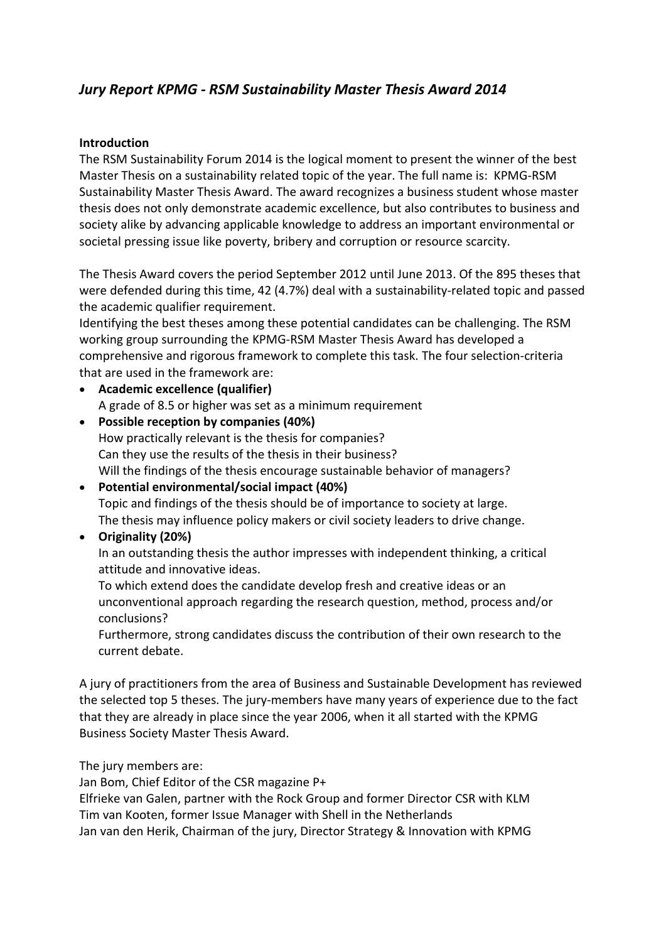# *Jury Report KPMG - RSM Sustainability Master Thesis Award 2014*

#### **Introduction**

The RSM Sustainability Forum 2014 is the logical moment to present the winner of the best Master Thesis on a sustainability related topic of the year. The full name is: KPMG-RSM Sustainability Master Thesis Award. The award recognizes a business student whose master thesis does not only demonstrate academic excellence, but also contributes to business and society alike by advancing applicable knowledge to address an important environmental or societal pressing issue like poverty, bribery and corruption or resource scarcity.

The Thesis Award covers the period September 2012 until June 2013. Of the 895 theses that were defended during this time, 42 (4.7%) deal with a sustainability-related topic and passed the academic qualifier requirement.

Identifying the best theses among these potential candidates can be challenging. The RSM working group surrounding the KPMG-RSM Master Thesis Award has developed a comprehensive and rigorous framework to complete this task. The four selection-criteria that are used in the framework are:

- **Academic excellence (qualifier)** A grade of 8.5 or higher was set as a minimum requirement
- **Possible reception by companies (40%)** How practically relevant is the thesis for companies? Can they use the results of the thesis in their business? Will the findings of the thesis encourage sustainable behavior of managers?
- **Potential environmental/social impact (40%)** Topic and findings of the thesis should be of importance to society at large. The thesis may influence policy makers or civil society leaders to drive change.

#### **Originality (20%)**

In an outstanding thesis the author impresses with independent thinking, a critical attitude and innovative ideas.

To which extend does the candidate develop fresh and creative ideas or an unconventional approach regarding the research question, method, process and/or conclusions?

Furthermore, strong candidates discuss the contribution of their own research to the current debate.

A jury of practitioners from the area of Business and Sustainable Development has reviewed the selected top 5 theses. The jury-members have many years of experience due to the fact that they are already in place since the year 2006, when it all started with the KPMG Business Society Master Thesis Award.

The jury members are:

Jan Bom, Chief Editor of the CSR magazine P+

Elfrieke van Galen, partner with the Rock Group and former Director CSR with KLM Tim van Kooten, former Issue Manager with Shell in the Netherlands Jan van den Herik, Chairman of the jury, Director Strategy & Innovation with KPMG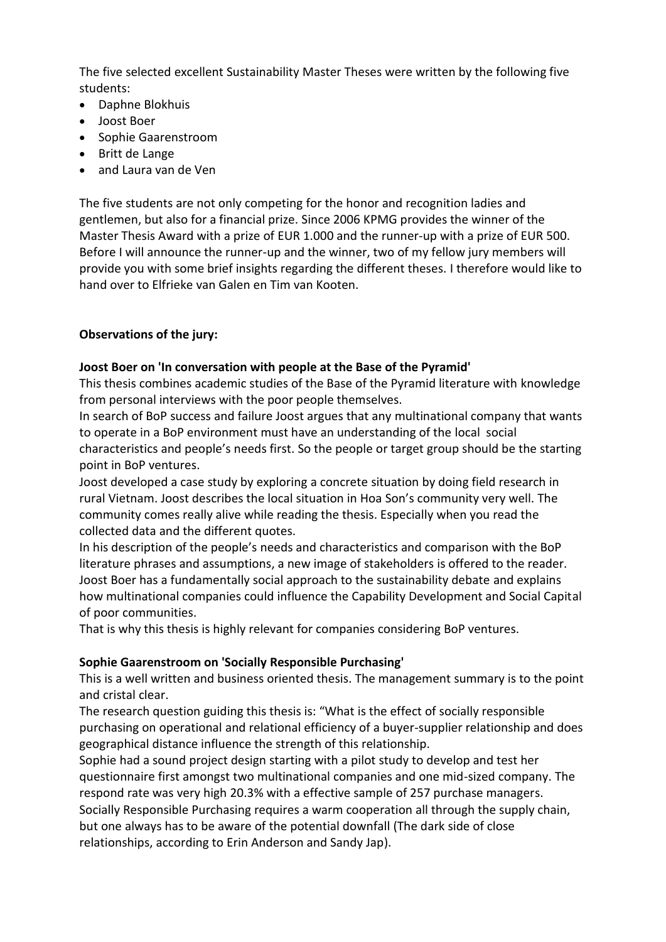The five selected excellent Sustainability Master Theses were written by the following five students:

- Daphne Blokhuis
- Joost Boer
- Sophie Gaarenstroom
- Britt de Lange
- and Laura van de Ven

The five students are not only competing for the honor and recognition ladies and gentlemen, but also for a financial prize. Since 2006 KPMG provides the winner of the Master Thesis Award with a prize of EUR 1.000 and the runner-up with a prize of EUR 500. Before I will announce the runner-up and the winner, two of my fellow jury members will provide you with some brief insights regarding the different theses. I therefore would like to hand over to Elfrieke van Galen en Tim van Kooten.

# **Observations of the jury:**

#### **Joost Boer on 'In conversation with people at the Base of the Pyramid'**

This thesis combines academic studies of the Base of the Pyramid literature with knowledge from personal interviews with the poor people themselves.

In search of BoP success and failure Joost argues that any multinational company that wants to operate in a BoP environment must have an understanding of the local social characteristics and people's needs first. So the people or target group should be the starting point in BoP ventures.

Joost developed a case study by exploring a concrete situation by doing field research in rural Vietnam. Joost describes the local situation in Hoa Son's community very well. The community comes really alive while reading the thesis. Especially when you read the collected data and the different quotes.

In his description of the people's needs and characteristics and comparison with the BoP literature phrases and assumptions, a new image of stakeholders is offered to the reader. Joost Boer has a fundamentally social approach to the sustainability debate and explains how multinational companies could influence the Capability Development and Social Capital of poor communities.

That is why this thesis is highly relevant for companies considering BoP ventures.

#### **Sophie Gaarenstroom on 'Socially Responsible Purchasing'**

This is a well written and business oriented thesis. The management summary is to the point and cristal clear.

The research question guiding this thesis is: "What is the effect of socially responsible purchasing on operational and relational efficiency of a buyer-supplier relationship and does geographical distance influence the strength of this relationship.

Sophie had a sound project design starting with a pilot study to develop and test her questionnaire first amongst two multinational companies and one mid-sized company. The respond rate was very high 20.3% with a effective sample of 257 purchase managers. Socially Responsible Purchasing requires a warm cooperation all through the supply chain, but one always has to be aware of the potential downfall (The dark side of close relationships, according to Erin Anderson and Sandy Jap).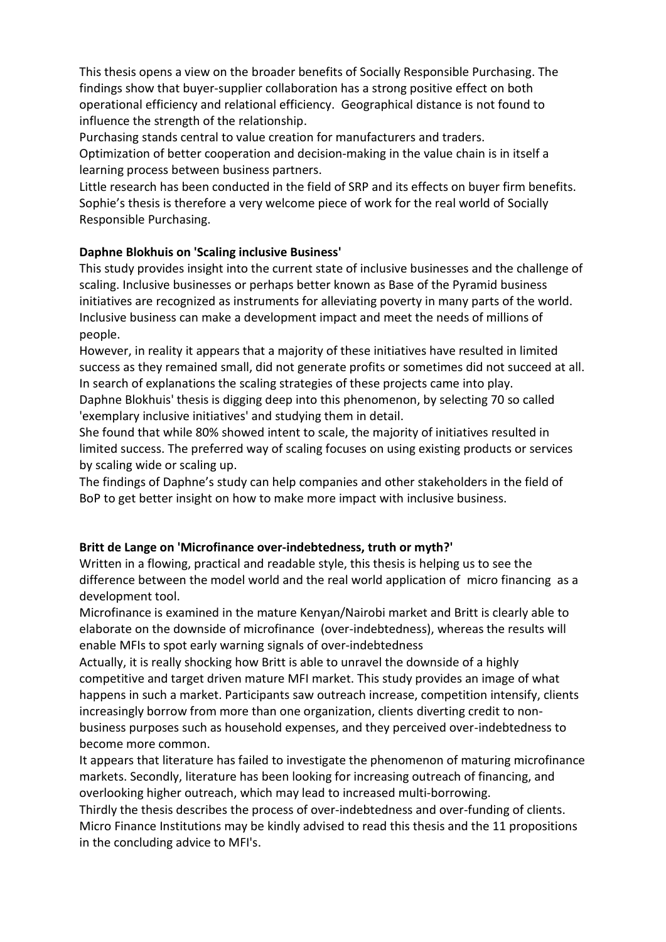This thesis opens a view on the broader benefits of Socially Responsible Purchasing. The findings show that buyer-supplier collaboration has a strong positive effect on both operational efficiency and relational efficiency. Geographical distance is not found to influence the strength of the relationship.

Purchasing stands central to value creation for manufacturers and traders.

Optimization of better cooperation and decision-making in the value chain is in itself a learning process between business partners.

Little research has been conducted in the field of SRP and its effects on buyer firm benefits. Sophie's thesis is therefore a very welcome piece of work for the real world of Socially Responsible Purchasing.

# **Daphne Blokhuis on 'Scaling inclusive Business'**

This study provides insight into the current state of inclusive businesses and the challenge of scaling. Inclusive businesses or perhaps better known as Base of the Pyramid business initiatives are recognized as instruments for alleviating poverty in many parts of the world. Inclusive business can make a development impact and meet the needs of millions of people.

However, in reality it appears that a majority of these initiatives have resulted in limited success as they remained small, did not generate profits or sometimes did not succeed at all. In search of explanations the scaling strategies of these projects came into play.

Daphne Blokhuis' thesis is digging deep into this phenomenon, by selecting 70 so called 'exemplary inclusive initiatives' and studying them in detail.

She found that while 80% showed intent to scale, the majority of initiatives resulted in limited success. The preferred way of scaling focuses on using existing products or services by scaling wide or scaling up.

The findings of Daphne's study can help companies and other stakeholders in the field of BoP to get better insight on how to make more impact with inclusive business.

# **Britt de Lange on 'Microfinance over-indebtedness, truth or myth?'**

Written in a flowing, practical and readable style, this thesis is helping us to see the difference between the model world and the real world application of micro financing as a development tool.

Microfinance is examined in the mature Kenyan/Nairobi market and Britt is clearly able to elaborate on the downside of microfinance (over-indebtedness), whereas the results will enable MFIs to spot early warning signals of over-indebtedness

Actually, it is really shocking how Britt is able to unravel the downside of a highly competitive and target driven mature MFI market. This study provides an image of what happens in such a market. Participants saw outreach increase, competition intensify, clients increasingly borrow from more than one organization, clients diverting credit to nonbusiness purposes such as household expenses, and they perceived over-indebtedness to become more common.

It appears that literature has failed to investigate the phenomenon of maturing microfinance markets. Secondly, literature has been looking for increasing outreach of financing, and overlooking higher outreach, which may lead to increased multi-borrowing.

Thirdly the thesis describes the process of over-indebtedness and over-funding of clients. Micro Finance Institutions may be kindly advised to read this thesis and the 11 propositions in the concluding advice to MFI's.